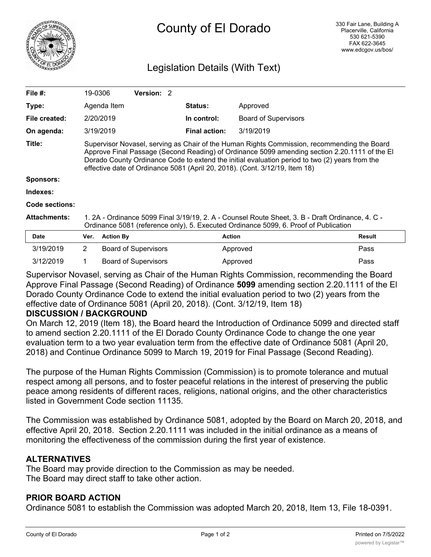

# Legislation Details (With Text)

| File #:             | 19-0306                                                                                                                                                                                                                                                                                                                                                                       |                  | <b>Version: 2</b>           |  |                      |                             |               |
|---------------------|-------------------------------------------------------------------------------------------------------------------------------------------------------------------------------------------------------------------------------------------------------------------------------------------------------------------------------------------------------------------------------|------------------|-----------------------------|--|----------------------|-----------------------------|---------------|
| Type:               |                                                                                                                                                                                                                                                                                                                                                                               | Agenda Item      |                             |  | <b>Status:</b>       | Approved                    |               |
| File created:       |                                                                                                                                                                                                                                                                                                                                                                               | 2/20/2019        |                             |  | In control:          | <b>Board of Supervisors</b> |               |
| On agenda:          |                                                                                                                                                                                                                                                                                                                                                                               | 3/19/2019        |                             |  | <b>Final action:</b> | 3/19/2019                   |               |
| Title:              | Supervisor Novasel, serving as Chair of the Human Rights Commission, recommending the Board<br>Approve Final Passage (Second Reading) of Ordinance 5099 amending section 2.20.1111 of the El<br>Dorado County Ordinance Code to extend the initial evaluation period to two (2) years from the<br>effective date of Ordinance 5081 (April 20, 2018). (Cont. 3/12/19, Item 18) |                  |                             |  |                      |                             |               |
| Sponsors:           |                                                                                                                                                                                                                                                                                                                                                                               |                  |                             |  |                      |                             |               |
| Indexes:            |                                                                                                                                                                                                                                                                                                                                                                               |                  |                             |  |                      |                             |               |
| Code sections:      |                                                                                                                                                                                                                                                                                                                                                                               |                  |                             |  |                      |                             |               |
| <b>Attachments:</b> | 1. 2A - Ordinance 5099 Final 3/19/19, 2. A - Counsel Route Sheet, 3. B - Draft Ordinance, 4. C -<br>Ordinance 5081 (reference only), 5. Executed Ordinance 5099, 6. Proof of Publication                                                                                                                                                                                      |                  |                             |  |                      |                             |               |
| <b>Date</b>         | Ver.                                                                                                                                                                                                                                                                                                                                                                          | <b>Action By</b> |                             |  | <b>Action</b>        |                             | <b>Result</b> |
| 3/19/2019           | $\overline{2}$                                                                                                                                                                                                                                                                                                                                                                |                  | <b>Board of Supervisors</b> |  |                      | Approved                    | Pass          |
| 3/12/2019           |                                                                                                                                                                                                                                                                                                                                                                               |                  | <b>Board of Supervisors</b> |  |                      | Approved                    | Pass          |

Supervisor Novasel, serving as Chair of the Human Rights Commission, recommending the Board Approve Final Passage (Second Reading) of Ordinance **5099** amending section 2.20.1111 of the El Dorado County Ordinance Code to extend the initial evaluation period to two (2) years from the effective date of Ordinance 5081 (April 20, 2018). (Cont. 3/12/19, Item 18)

#### **DISCUSSION / BACKGROUND**

On March 12, 2019 (Item 18), the Board heard the Introduction of Ordinance 5099 and directed staff to amend section 2.20.1111 of the El Dorado County Ordinance Code to change the one year evaluation term to a two year evaluation term from the effective date of Ordinance 5081 (April 20, 2018) and Continue Ordinance 5099 to March 19, 2019 for Final Passage (Second Reading).

The purpose of the Human Rights Commission (Commission) is to promote tolerance and mutual respect among all persons, and to foster peaceful relations in the interest of preserving the public peace among residents of different races, religions, national origins, and the other characteristics listed in Government Code section 11135.

The Commission was established by Ordinance 5081, adopted by the Board on March 20, 2018, and effective April 20, 2018. Section 2.20.1111 was included in the initial ordinance as a means of monitoring the effectiveness of the commission during the first year of existence.

# **ALTERNATIVES**

The Board may provide direction to the Commission as may be needed. The Board may direct staff to take other action.

#### **PRIOR BOARD ACTION**

Ordinance 5081 to establish the Commission was adopted March 20, 2018, Item 13, File 18-0391.